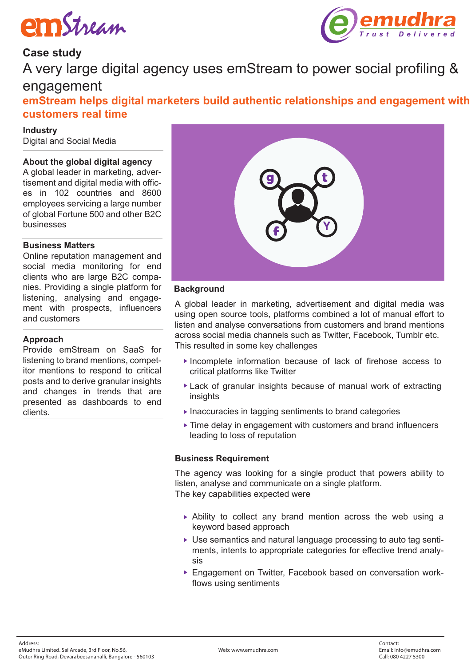



# **Case study**

A very large digital agency uses emStream to power social profiling & engagement

**emStream helps digital marketers build authentic relationships and engagement with customers real time** 

**Industry** Digital and Social Media

# **About the global digital agency**

A global leader in marketing, advertisement and digital media with offices in 102 countries and 8600 employees servicing a large number of global Fortune 500 and other B2C businesses

#### **Business Matters**

Online reputation management and social media monitoring for end clients who are large B2C companies. Providing a single platform for listening, analysing and engagement with prospects, influencers and customers

#### **Approach**

Provide emStream on SaaS for listening to brand mentions, competitor mentions to respond to critical posts and to derive granular insights and changes in trends that are presented as dashboards to end clients.



#### **Background**

A global leader in marketing, advertisement and digital media was using open source tools, platforms combined a lot of manual effort to listen and analyse conversations from customers and brand mentions across social media channels such as Twitter, Facebook, Tumblr etc. This resulted in some key challenges

- Incomplete information because of lack of firehose access to critical platforms like Twitter
- Lack of granular insights because of manual work of extracting insights
- $\blacktriangleright$  Inaccuracies in tagging sentiments to brand categories
- ▶ Time delay in engagement with customers and brand influencers leading to loss of reputation

#### **Business Requirement**

The agency was looking for a single product that powers ability to listen, analyse and communicate on a single platform. The key capabilities expected were

- Ability to collect any brand mention across the web using a keyword based approach
- Use semantics and natural language processing to auto tag sentiments, intents to appropriate categories for effective trend analysis
- Engagement on Twitter, Facebook based on conversation workflows using sentiments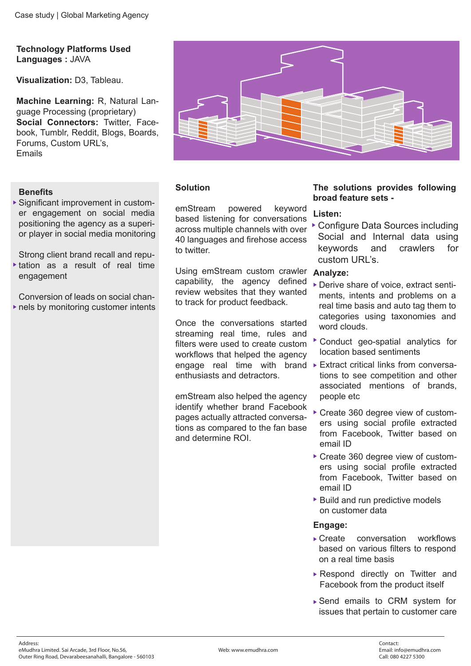**Technology Platforms Used Languages :** JAVA

**Visualization:** D3, Tableau.

**Machine Learning:** R, Natural Language Processing (proprietary) Social Connectors: Twitter, Facebook, Tumblr, Reddit, Blogs, Boards, Forums, Custom URL's, Emails

# **Benefits**

Significant improvement in customer engagement on social media positioning the agency as a superior player in social media monitoring

Strong client brand recall and repu-

tation as a result of real time engagement

Conversion of leads on social channels by monitoring customer intents



# **Solution**

emStream powered keyword based listening for conversations across multiple channels with over 40 languages and firehose access to twitter.

Using emStream custom crawler **Analyze:**  capability, the agency defined review websites that they wanted to track for product feedback.

Once the conversations started streaming real time, rules and filters were used to create custom workflows that helped the agency enthusiasts and detractors.

emStream also helped the agency identify whether brand Facebook pages actually attracted conversations as compared to the fan base and determine ROI.

#### **The solutions provides following broad feature sets -**

# **Listen:**

Configure Data Sources including Social and Internal data using keywords and crawlers for custom URL's.

- Derive share of voice, extract sentiments, intents and problems on a real time basis and auto tag them to categories using taxonomies and word clouds.
- Conduct geo-spatial analytics for location based sentiments
- engage real time with brand Extract critical links from conversations to see competition and other associated mentions of brands, people etc
	- Create 360 degree view of customers using social profile extracted from Facebook, Twitter based on email ID
	- Create 360 degree view of customers using social profile extracted from Facebook, Twitter based on email ID
	- ▶ Build and run predictive models on customer data

#### **Engage:**

- ▶ Create conversation workflows based on various filters to respond on a real time basis
- Respond directly on Twitter and Facebook from the product itself
- Send emails to CRM system for issues that pertain to customer care